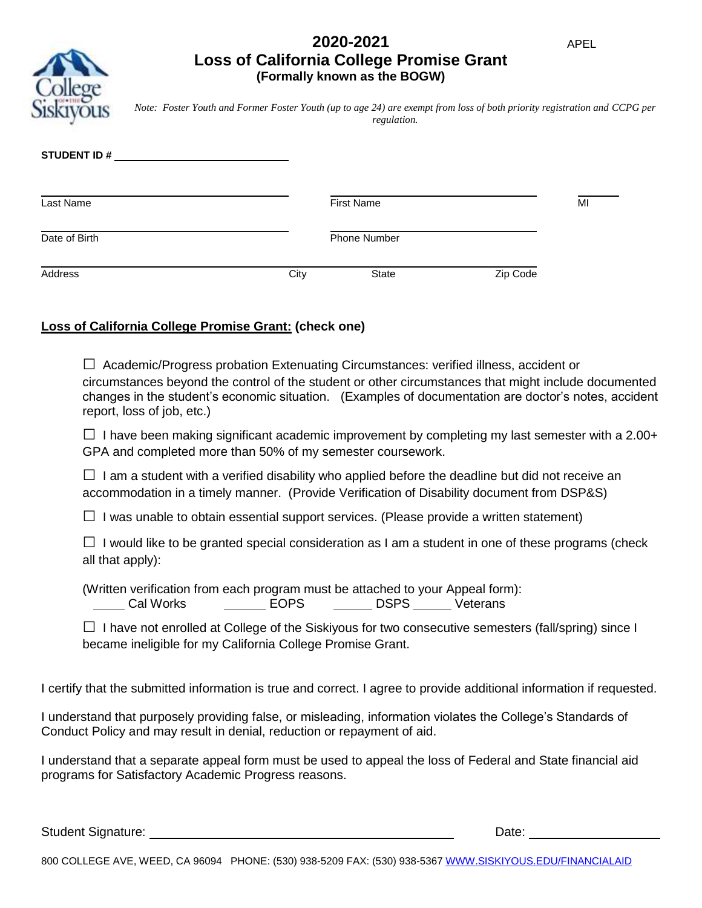## **2020-2021 Loss of California College Promise Grant (Formally known as the BOGW)**

*Note: Foster Youth and Former Foster Youth (up to age 24) are exempt from loss of both priority registration and CCPG per regulation.*

| <b>STUDENT ID#</b> |      |                     |          |    |
|--------------------|------|---------------------|----------|----|
| Last Name          |      | <b>First Name</b>   |          | MI |
| Date of Birth      |      | <b>Phone Number</b> |          |    |
| Address            | City | State               | Zip Code |    |

# **Loss of California College Promise Grant: (check one)**

 $\Box$  Academic/Progress probation Extenuating Circumstances: verified illness, accident or circumstances beyond the control of the student or other circumstances that might include documented changes in the student's economic situation. (Examples of documentation are doctor's notes, accident report, loss of job, etc.)

 $\Box$  I have been making significant academic improvement by completing my last semester with a 2.00+ GPA and completed more than 50% of my semester coursework.

 $\Box$  I am a student with a verified disability who applied before the deadline but did not receive an accommodation in a timely manner. (Provide Verification of Disability document from DSP&S)

 $\Box$  I was unable to obtain essential support services. (Please provide a written statement)

 $\Box$  I would like to be granted special consideration as I am a student in one of these programs (check all that apply):

(Written verification from each program must be attached to your Appeal form): Lacked Morks Corp. Lacked Corp. Lacked Corp. 2014 Morks Corp. 2014 Morked Corp. 2016

 $\square$  I have not enrolled at College of the Siskiyous for two consecutive semesters (fall/spring) since I became ineligible for my California College Promise Grant.

I certify that the submitted information is true and correct. I agree to provide additional information if requested.

I understand that purposely providing false, or misleading, information violates the College's Standards of Conduct Policy and may result in denial, reduction or repayment of aid.

I understand that a separate appeal form must be used to appeal the loss of Federal and State financial aid programs for Satisfactory Academic Progress reasons.

Student Signature: Date: Date: Date: Date: Date: Date: Date: Date: Date: Date: Date: Date: Date: Date: Date: Date: Date: Date: Date: Date: Date: Date: Date: Date: Date: Date: Date: Date: Date: Date: Date: Date: Date: Date: